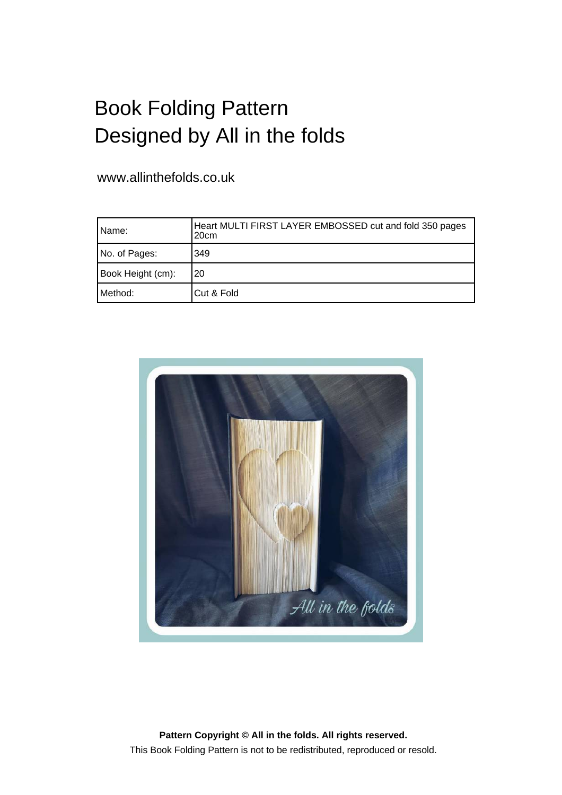## Book Folding Pattern Designed by All in the folds

www.allinthefolds.co.uk

| IName:            | Heart MULTI FIRST LAYER EMBOSSED cut and fold 350 pages<br>20 <sub>cm</sub> |
|-------------------|-----------------------------------------------------------------------------|
| No. of Pages:     | 349                                                                         |
| Book Height (cm): | 20                                                                          |
| Method: l         | Cut & Fold                                                                  |



**Pattern Copyright © All in the folds. All rights reserved.** This Book Folding Pattern is not to be redistributed, reproduced or resold.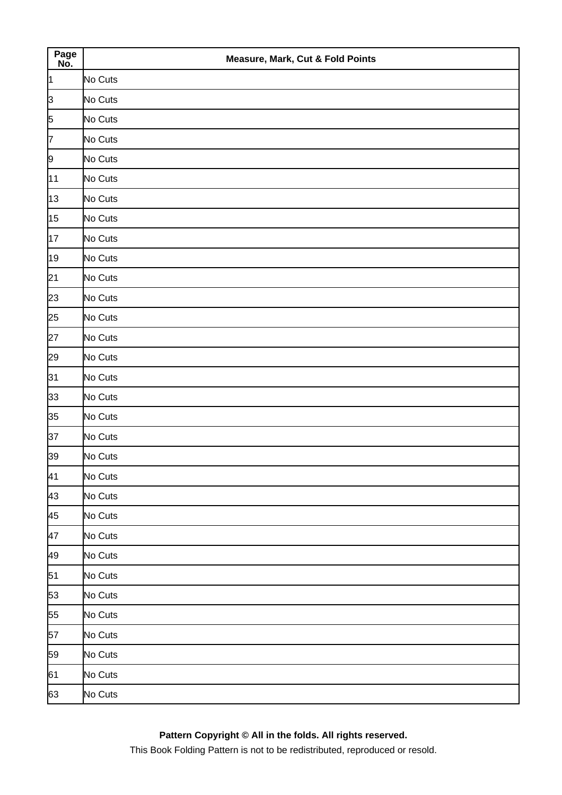| Page<br>No.    | <b>Measure, Mark, Cut &amp; Fold Points</b> |
|----------------|---------------------------------------------|
| 1              | No Cuts                                     |
| þЗ             | No Cuts                                     |
| $\overline{5}$ | No Cuts                                     |
| $\overline{7}$ | No Cuts                                     |
| $\overline{9}$ | No Cuts                                     |
| 11             | No Cuts                                     |
| 13             | No Cuts                                     |
| 15             | No Cuts                                     |
| 17             | No Cuts                                     |
| 19             | No Cuts                                     |
| 21             | No Cuts                                     |
| 23             | No Cuts                                     |
| 25             | No Cuts                                     |
| 27             | No Cuts                                     |
| 29             | No Cuts                                     |
| 31             | No Cuts                                     |
| 33             | No Cuts                                     |
| 35             | No Cuts                                     |
| 37             | No Cuts                                     |
| 39             | No Cuts                                     |
| 41             | No Cuts                                     |
| 43             | No Cuts                                     |
| 45             | No Cuts                                     |
| 47             | No Cuts                                     |
| 49             | No Cuts                                     |
| 51             | No Cuts                                     |
| 53             | No Cuts                                     |
| 55             | No Cuts                                     |
| 57             | No Cuts                                     |
| 59             | No Cuts                                     |
| 61             | No Cuts                                     |
| 63             | No Cuts                                     |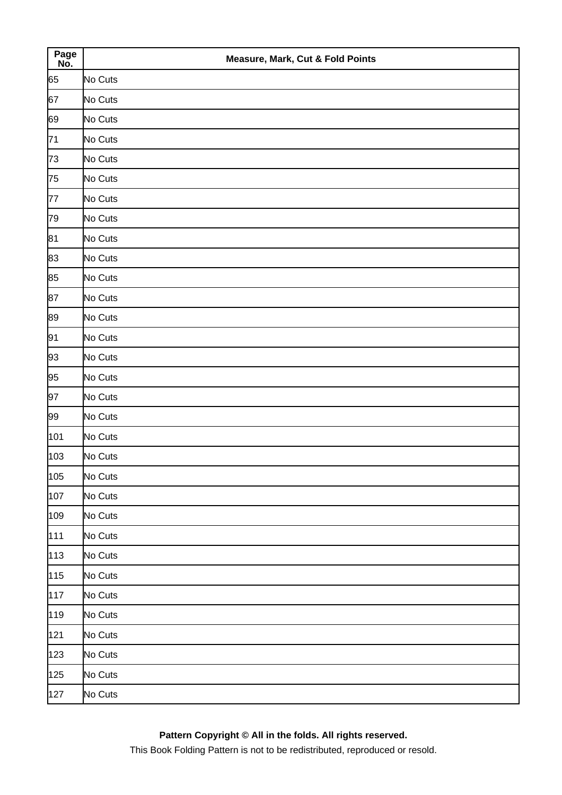| Page<br>No. | <b>Measure, Mark, Cut &amp; Fold Points</b> |
|-------------|---------------------------------------------|
| 65          | No Cuts                                     |
| 67          | No Cuts                                     |
| 69          | No Cuts                                     |
| 71          | No Cuts                                     |
| 73          | No Cuts                                     |
| 75          | No Cuts                                     |
| 77          | No Cuts                                     |
| 79          | No Cuts                                     |
| 81          | No Cuts                                     |
| 83          | No Cuts                                     |
| 85          | No Cuts                                     |
| 87          | No Cuts                                     |
| 89          | No Cuts                                     |
| 91          | No Cuts                                     |
| 93          | No Cuts                                     |
| 95          | No Cuts                                     |
| 97          | No Cuts                                     |
| 99          | No Cuts                                     |
| 101         | No Cuts                                     |
| 103         | No Cuts                                     |
| 105         | No Cuts                                     |
| 107         | No Cuts                                     |
| 109         | No Cuts                                     |
| 111         | No Cuts                                     |
| 113         | No Cuts                                     |
| 115         | No Cuts                                     |
| 117         | No Cuts                                     |
| 119         | No Cuts                                     |
| 121         | No Cuts                                     |
| 123         | No Cuts                                     |
| 125         | No Cuts                                     |
| 127         | No Cuts                                     |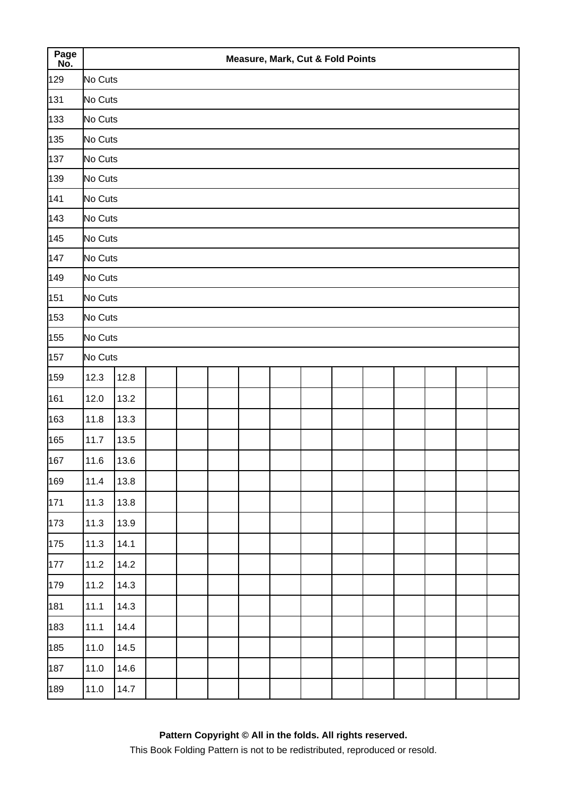| Page<br>No. |         |      |  |  | <b>Measure, Mark, Cut &amp; Fold Points</b> |  |  |  |  |
|-------------|---------|------|--|--|---------------------------------------------|--|--|--|--|
| 129         | No Cuts |      |  |  |                                             |  |  |  |  |
| 131         | No Cuts |      |  |  |                                             |  |  |  |  |
| 133         | No Cuts |      |  |  |                                             |  |  |  |  |
| 135         | No Cuts |      |  |  |                                             |  |  |  |  |
| 137         | No Cuts |      |  |  |                                             |  |  |  |  |
| 139         | No Cuts |      |  |  |                                             |  |  |  |  |
| 141         | No Cuts |      |  |  |                                             |  |  |  |  |
| 143         | No Cuts |      |  |  |                                             |  |  |  |  |
| 145         | No Cuts |      |  |  |                                             |  |  |  |  |
| 147         | No Cuts |      |  |  |                                             |  |  |  |  |
| 149         | No Cuts |      |  |  |                                             |  |  |  |  |
| 151         | No Cuts |      |  |  |                                             |  |  |  |  |
| 153         | No Cuts |      |  |  |                                             |  |  |  |  |
| 155         | No Cuts |      |  |  |                                             |  |  |  |  |
| 157         | No Cuts |      |  |  |                                             |  |  |  |  |
| 159         | 12.3    | 12.8 |  |  |                                             |  |  |  |  |
| 161         | 12.0    | 13.2 |  |  |                                             |  |  |  |  |
| 163         | 11.8    | 13.3 |  |  |                                             |  |  |  |  |
| 165         | 11.7    | 13.5 |  |  |                                             |  |  |  |  |
| 167         | 11.6    | 13.6 |  |  |                                             |  |  |  |  |
| 169         | 11.4    | 13.8 |  |  |                                             |  |  |  |  |
| 171         | 11.3    | 13.8 |  |  |                                             |  |  |  |  |
| 173         | 11.3    | 13.9 |  |  |                                             |  |  |  |  |
| 175         | 11.3    | 14.1 |  |  |                                             |  |  |  |  |
| 177         | 11.2    | 14.2 |  |  |                                             |  |  |  |  |
| 179         | 11.2    | 14.3 |  |  |                                             |  |  |  |  |
| 181         | 11.1    | 14.3 |  |  |                                             |  |  |  |  |
| 183         | 11.1    | 14.4 |  |  |                                             |  |  |  |  |
| 185         | 11.0    | 14.5 |  |  |                                             |  |  |  |  |
| 187         | 11.0    | 14.6 |  |  |                                             |  |  |  |  |
| 189         | 11.0    | 14.7 |  |  |                                             |  |  |  |  |
|             |         |      |  |  |                                             |  |  |  |  |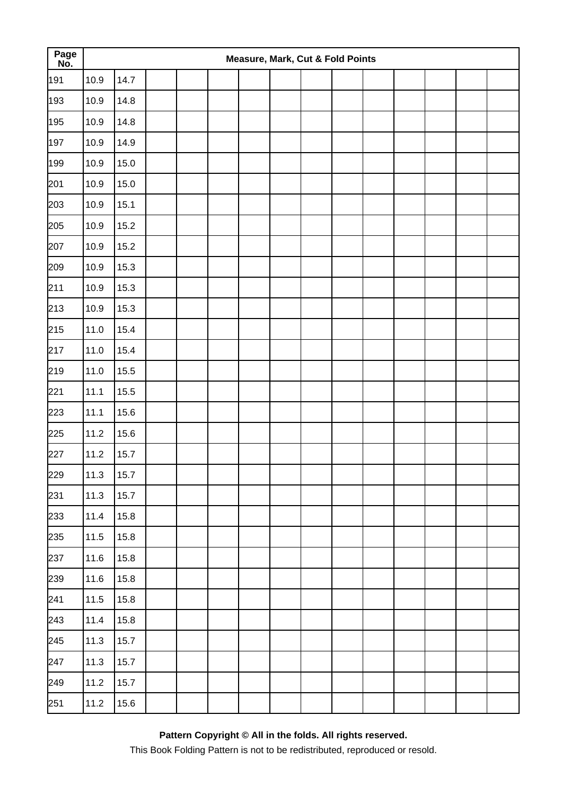| Page<br>No. |      |      |  |  | Measure, Mark, Cut & Fold Points |  |  |  |  |
|-------------|------|------|--|--|----------------------------------|--|--|--|--|
| 191         | 10.9 | 14.7 |  |  |                                  |  |  |  |  |
| 193         | 10.9 | 14.8 |  |  |                                  |  |  |  |  |
| 195         | 10.9 | 14.8 |  |  |                                  |  |  |  |  |
| 197         | 10.9 | 14.9 |  |  |                                  |  |  |  |  |
| 199         | 10.9 | 15.0 |  |  |                                  |  |  |  |  |
| 201         | 10.9 | 15.0 |  |  |                                  |  |  |  |  |
| 203         | 10.9 | 15.1 |  |  |                                  |  |  |  |  |
| 205         | 10.9 | 15.2 |  |  |                                  |  |  |  |  |
| 207         | 10.9 | 15.2 |  |  |                                  |  |  |  |  |
| 209         | 10.9 | 15.3 |  |  |                                  |  |  |  |  |
| 211         | 10.9 | 15.3 |  |  |                                  |  |  |  |  |
| 213         | 10.9 | 15.3 |  |  |                                  |  |  |  |  |
| 215         | 11.0 | 15.4 |  |  |                                  |  |  |  |  |
| 217         | 11.0 | 15.4 |  |  |                                  |  |  |  |  |
| 219         | 11.0 | 15.5 |  |  |                                  |  |  |  |  |
| 221         | 11.1 | 15.5 |  |  |                                  |  |  |  |  |
| 223         | 11.1 | 15.6 |  |  |                                  |  |  |  |  |
| 225         | 11.2 | 15.6 |  |  |                                  |  |  |  |  |
| 227         | 11.2 | 15.7 |  |  |                                  |  |  |  |  |
| 229         | 11.3 | 15.7 |  |  |                                  |  |  |  |  |
| 231         | 11.3 | 15.7 |  |  |                                  |  |  |  |  |
| 233         | 11.4 | 15.8 |  |  |                                  |  |  |  |  |
| 235         | 11.5 | 15.8 |  |  |                                  |  |  |  |  |
| 237         | 11.6 | 15.8 |  |  |                                  |  |  |  |  |
| 239         | 11.6 | 15.8 |  |  |                                  |  |  |  |  |
| 241         | 11.5 | 15.8 |  |  |                                  |  |  |  |  |
| 243         | 11.4 | 15.8 |  |  |                                  |  |  |  |  |
| 245         | 11.3 | 15.7 |  |  |                                  |  |  |  |  |
| 247         | 11.3 | 15.7 |  |  |                                  |  |  |  |  |
| 249         | 11.2 | 15.7 |  |  |                                  |  |  |  |  |
| 251         | 11.2 | 15.6 |  |  |                                  |  |  |  |  |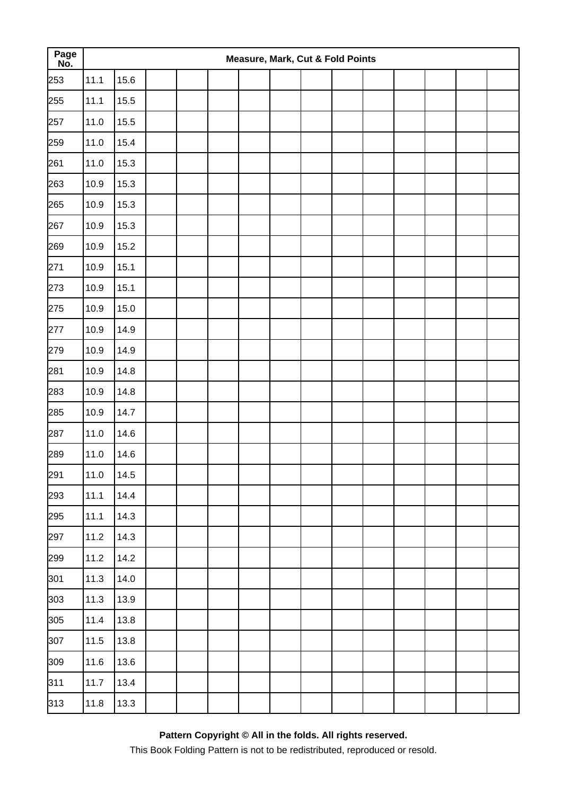| Page<br>No. |      |      |  |  | Measure, Mark, Cut & Fold Points |  |  |  |  |
|-------------|------|------|--|--|----------------------------------|--|--|--|--|
| 253         | 11.1 | 15.6 |  |  |                                  |  |  |  |  |
| 255         | 11.1 | 15.5 |  |  |                                  |  |  |  |  |
| 257         | 11.0 | 15.5 |  |  |                                  |  |  |  |  |
| 259         | 11.0 | 15.4 |  |  |                                  |  |  |  |  |
| 261         | 11.0 | 15.3 |  |  |                                  |  |  |  |  |
| 263         | 10.9 | 15.3 |  |  |                                  |  |  |  |  |
| 265         | 10.9 | 15.3 |  |  |                                  |  |  |  |  |
| 267         | 10.9 | 15.3 |  |  |                                  |  |  |  |  |
| 269         | 10.9 | 15.2 |  |  |                                  |  |  |  |  |
| 271         | 10.9 | 15.1 |  |  |                                  |  |  |  |  |
| 273         | 10.9 | 15.1 |  |  |                                  |  |  |  |  |
| 275         | 10.9 | 15.0 |  |  |                                  |  |  |  |  |
| 277         | 10.9 | 14.9 |  |  |                                  |  |  |  |  |
| 279         | 10.9 | 14.9 |  |  |                                  |  |  |  |  |
| 281         | 10.9 | 14.8 |  |  |                                  |  |  |  |  |
| 283         | 10.9 | 14.8 |  |  |                                  |  |  |  |  |
| 285         | 10.9 | 14.7 |  |  |                                  |  |  |  |  |
| 287         | 11.0 | 14.6 |  |  |                                  |  |  |  |  |
| 289         | 11.0 | 14.6 |  |  |                                  |  |  |  |  |
| 291         | 11.0 | 14.5 |  |  |                                  |  |  |  |  |
| 293         | 11.1 | 14.4 |  |  |                                  |  |  |  |  |
| 295         | 11.1 | 14.3 |  |  |                                  |  |  |  |  |
| 297         | 11.2 | 14.3 |  |  |                                  |  |  |  |  |
| 299         | 11.2 | 14.2 |  |  |                                  |  |  |  |  |
| 301         | 11.3 | 14.0 |  |  |                                  |  |  |  |  |
| 303         | 11.3 | 13.9 |  |  |                                  |  |  |  |  |
| 305         | 11.4 | 13.8 |  |  |                                  |  |  |  |  |
| 307         | 11.5 | 13.8 |  |  |                                  |  |  |  |  |
| 309         | 11.6 | 13.6 |  |  |                                  |  |  |  |  |
| 311         | 11.7 | 13.4 |  |  |                                  |  |  |  |  |
| 313         | 11.8 | 13.3 |  |  |                                  |  |  |  |  |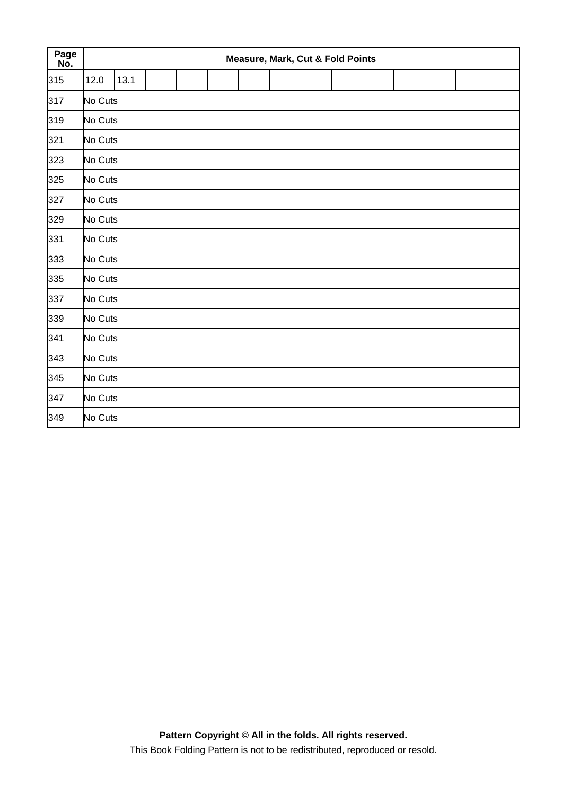| Page<br>No. |         | <b>Measure, Mark, Cut &amp; Fold Points</b> |  |  |  |  |  |  |  |  |  |  |  |  |
|-------------|---------|---------------------------------------------|--|--|--|--|--|--|--|--|--|--|--|--|
| 315         | 12.0    | 13.1                                        |  |  |  |  |  |  |  |  |  |  |  |  |
| 317         | No Cuts |                                             |  |  |  |  |  |  |  |  |  |  |  |  |
| 319         | No Cuts |                                             |  |  |  |  |  |  |  |  |  |  |  |  |
| 321         | No Cuts |                                             |  |  |  |  |  |  |  |  |  |  |  |  |
| 323         | No Cuts |                                             |  |  |  |  |  |  |  |  |  |  |  |  |
| 325         | No Cuts |                                             |  |  |  |  |  |  |  |  |  |  |  |  |
| 327         | No Cuts |                                             |  |  |  |  |  |  |  |  |  |  |  |  |
| 329         | No Cuts |                                             |  |  |  |  |  |  |  |  |  |  |  |  |
| 331         | No Cuts |                                             |  |  |  |  |  |  |  |  |  |  |  |  |
| 333         | No Cuts |                                             |  |  |  |  |  |  |  |  |  |  |  |  |
| 335         | No Cuts |                                             |  |  |  |  |  |  |  |  |  |  |  |  |
| 337         | No Cuts |                                             |  |  |  |  |  |  |  |  |  |  |  |  |
| 339         | No Cuts |                                             |  |  |  |  |  |  |  |  |  |  |  |  |
| 341         | No Cuts |                                             |  |  |  |  |  |  |  |  |  |  |  |  |
| 343         | No Cuts |                                             |  |  |  |  |  |  |  |  |  |  |  |  |
| 345         | No Cuts |                                             |  |  |  |  |  |  |  |  |  |  |  |  |
| 347         | No Cuts |                                             |  |  |  |  |  |  |  |  |  |  |  |  |
| 349         | No Cuts |                                             |  |  |  |  |  |  |  |  |  |  |  |  |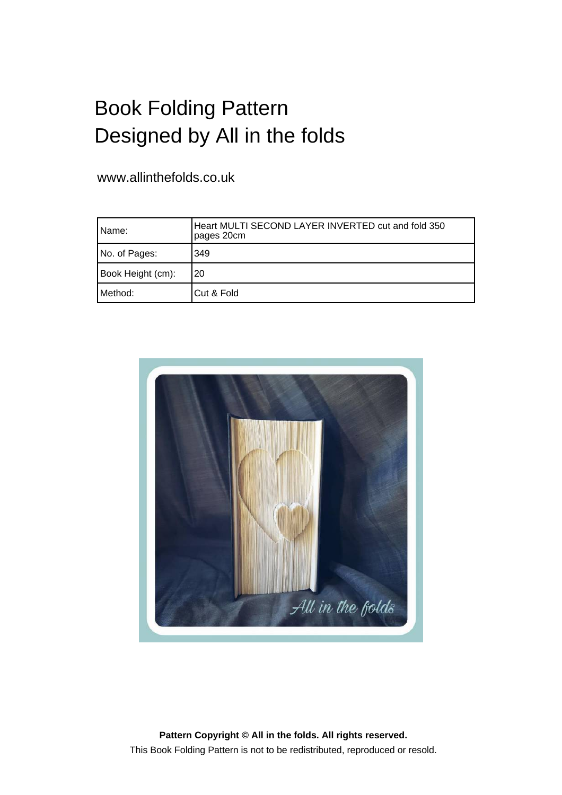## Book Folding Pattern Designed by All in the folds

www.allinthefolds.co.uk

| l Name:           | Heart MULTI SECOND LAYER INVERTED cut and fold 350<br>pages 20cm |
|-------------------|------------------------------------------------------------------|
| No. of Pages:     | 349                                                              |
| Book Height (cm): | 20                                                               |
| Method:           | Cut & Fold                                                       |



**Pattern Copyright © All in the folds. All rights reserved.** This Book Folding Pattern is not to be redistributed, reproduced or resold.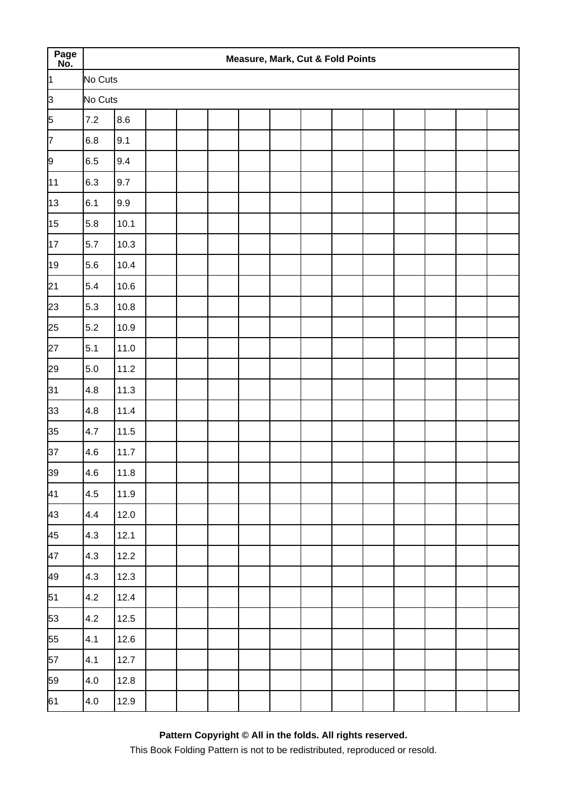| Page<br>No.  |         |        |  |  | Measure, Mark, Cut & Fold Points |  |  |  |  |
|--------------|---------|--------|--|--|----------------------------------|--|--|--|--|
| <sup>1</sup> | No Cuts |        |  |  |                                  |  |  |  |  |
| þЗ           | No Cuts |        |  |  |                                  |  |  |  |  |
| 5            | 7.2     | 8.6    |  |  |                                  |  |  |  |  |
| 7            | 6.8     | 9.1    |  |  |                                  |  |  |  |  |
| 9            | 6.5     | 9.4    |  |  |                                  |  |  |  |  |
| 11           | $6.3\,$ | 9.7    |  |  |                                  |  |  |  |  |
| 13           | 6.1     | 9.9    |  |  |                                  |  |  |  |  |
| 15           | 5.8     | 10.1   |  |  |                                  |  |  |  |  |
| 17           | 5.7     | 10.3   |  |  |                                  |  |  |  |  |
| 19           | 5.6     | 10.4   |  |  |                                  |  |  |  |  |
| 21           | 5.4     | 10.6   |  |  |                                  |  |  |  |  |
| 23           | 5.3     | 10.8   |  |  |                                  |  |  |  |  |
| 25           | 5.2     | 10.9   |  |  |                                  |  |  |  |  |
| 27           | 5.1     | 11.0   |  |  |                                  |  |  |  |  |
| 29           | $5.0\,$ | 11.2   |  |  |                                  |  |  |  |  |
| 31           | 4.8     | 11.3   |  |  |                                  |  |  |  |  |
| 33           | 4.8     | 11.4   |  |  |                                  |  |  |  |  |
| 35           | 4.7     | $11.5$ |  |  |                                  |  |  |  |  |
| 37           | 4.6     | 11.7   |  |  |                                  |  |  |  |  |
| 39           | 4.6     | 11.8   |  |  |                                  |  |  |  |  |
| 41           | 4.5     | 11.9   |  |  |                                  |  |  |  |  |
| 43           | 4.4     | 12.0   |  |  |                                  |  |  |  |  |
| 45           | 4.3     | 12.1   |  |  |                                  |  |  |  |  |
| 47           | 4.3     | 12.2   |  |  |                                  |  |  |  |  |
| 49           | 4.3     | 12.3   |  |  |                                  |  |  |  |  |
| 51           | 4.2     | 12.4   |  |  |                                  |  |  |  |  |
| 53           | 4.2     | 12.5   |  |  |                                  |  |  |  |  |
| 55           | 4.1     | 12.6   |  |  |                                  |  |  |  |  |
| 57           | 4.1     | 12.7   |  |  |                                  |  |  |  |  |
| 59           | $4.0\,$ | 12.8   |  |  |                                  |  |  |  |  |
| 61           | 4.0     | 12.9   |  |  |                                  |  |  |  |  |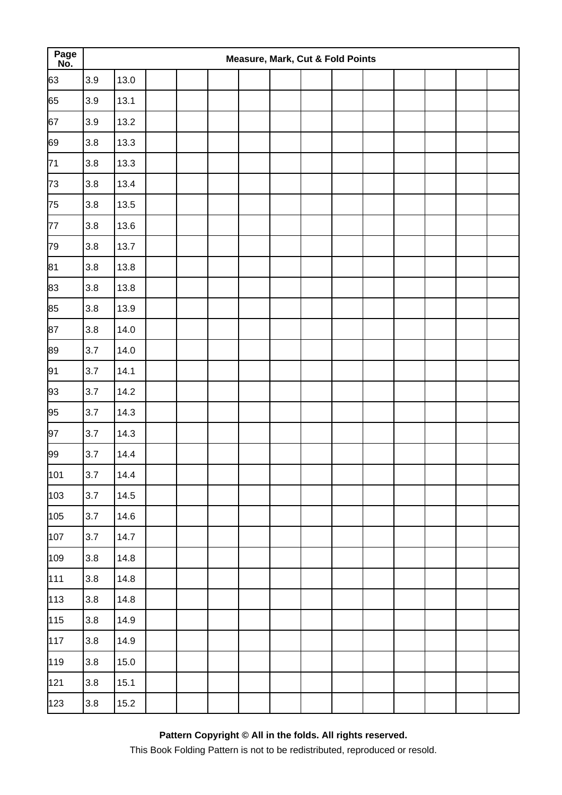| Page<br>No. |         |      |  |  | <b>Measure, Mark, Cut &amp; Fold Points</b> |  |  |  |  |
|-------------|---------|------|--|--|---------------------------------------------|--|--|--|--|
| 63          | 3.9     | 13.0 |  |  |                                             |  |  |  |  |
| 65          | 3.9     | 13.1 |  |  |                                             |  |  |  |  |
| 67          | 3.9     | 13.2 |  |  |                                             |  |  |  |  |
| 69          | 3.8     | 13.3 |  |  |                                             |  |  |  |  |
| 71          | 3.8     | 13.3 |  |  |                                             |  |  |  |  |
| 73          | 3.8     | 13.4 |  |  |                                             |  |  |  |  |
| 75          | 3.8     | 13.5 |  |  |                                             |  |  |  |  |
| 77          | 3.8     | 13.6 |  |  |                                             |  |  |  |  |
| 79          | 3.8     | 13.7 |  |  |                                             |  |  |  |  |
| 81          | 3.8     | 13.8 |  |  |                                             |  |  |  |  |
| 83          | 3.8     | 13.8 |  |  |                                             |  |  |  |  |
| 85          | 3.8     | 13.9 |  |  |                                             |  |  |  |  |
| 87          | 3.8     | 14.0 |  |  |                                             |  |  |  |  |
| 89          | 3.7     | 14.0 |  |  |                                             |  |  |  |  |
| 91          | 3.7     | 14.1 |  |  |                                             |  |  |  |  |
| 93          | 3.7     | 14.2 |  |  |                                             |  |  |  |  |
| 95          | 3.7     | 14.3 |  |  |                                             |  |  |  |  |
| 97          | 3.7     | 14.3 |  |  |                                             |  |  |  |  |
| 99          | 3.7     | 14.4 |  |  |                                             |  |  |  |  |
| 101         | 3.7     | 14.4 |  |  |                                             |  |  |  |  |
| 103         | 3.7     | 14.5 |  |  |                                             |  |  |  |  |
| 105         | 3.7     | 14.6 |  |  |                                             |  |  |  |  |
| 107         | 3.7     | 14.7 |  |  |                                             |  |  |  |  |
| 109         | 3.8     | 14.8 |  |  |                                             |  |  |  |  |
| 111         | 3.8     | 14.8 |  |  |                                             |  |  |  |  |
| 113         | $3.8\,$ | 14.8 |  |  |                                             |  |  |  |  |
| 115         | 3.8     | 14.9 |  |  |                                             |  |  |  |  |
| 117         | 3.8     | 14.9 |  |  |                                             |  |  |  |  |
| 119         | $3.8\,$ | 15.0 |  |  |                                             |  |  |  |  |
| 121         | $3.8\,$ | 15.1 |  |  |                                             |  |  |  |  |
| 123         | $3.8\,$ | 15.2 |  |  |                                             |  |  |  |  |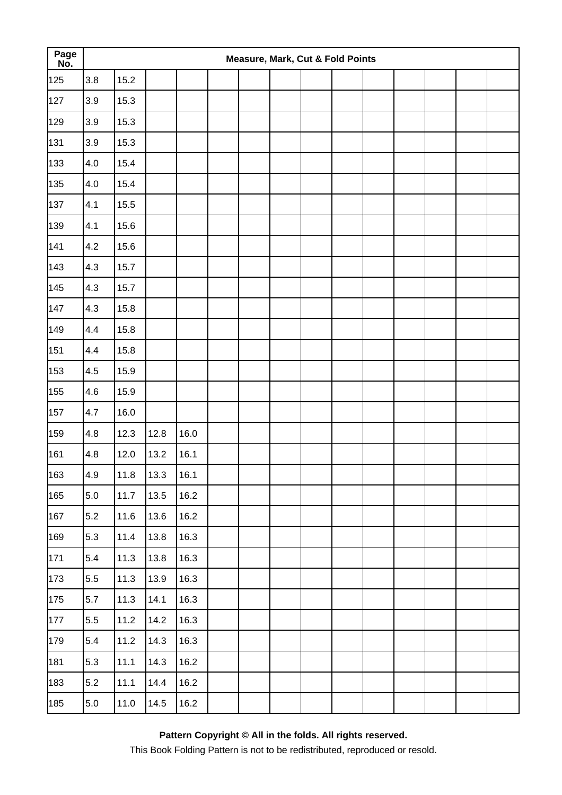| Page<br>No. |         |      |      |      |  | Measure, Mark, Cut & Fold Points |  |  |  |  |
|-------------|---------|------|------|------|--|----------------------------------|--|--|--|--|
| 125         | 3.8     | 15.2 |      |      |  |                                  |  |  |  |  |
| 127         | 3.9     | 15.3 |      |      |  |                                  |  |  |  |  |
| 129         | 3.9     | 15.3 |      |      |  |                                  |  |  |  |  |
| 131         | 3.9     | 15.3 |      |      |  |                                  |  |  |  |  |
| 133         | 4.0     | 15.4 |      |      |  |                                  |  |  |  |  |
| 135         | 4.0     | 15.4 |      |      |  |                                  |  |  |  |  |
| 137         | 4.1     | 15.5 |      |      |  |                                  |  |  |  |  |
| 139         | 4.1     | 15.6 |      |      |  |                                  |  |  |  |  |
| 141         | 4.2     | 15.6 |      |      |  |                                  |  |  |  |  |
| 143         | 4.3     | 15.7 |      |      |  |                                  |  |  |  |  |
| 145         | 4.3     | 15.7 |      |      |  |                                  |  |  |  |  |
| 147         | 4.3     | 15.8 |      |      |  |                                  |  |  |  |  |
| 149         | 4.4     | 15.8 |      |      |  |                                  |  |  |  |  |
| 151         | 4.4     | 15.8 |      |      |  |                                  |  |  |  |  |
| 153         | 4.5     | 15.9 |      |      |  |                                  |  |  |  |  |
| 155         | 4.6     | 15.9 |      |      |  |                                  |  |  |  |  |
| 157         | 4.7     | 16.0 |      |      |  |                                  |  |  |  |  |
| 159         | 4.8     | 12.3 | 12.8 | 16.0 |  |                                  |  |  |  |  |
| 161         | 4.8     | 12.0 | 13.2 | 16.1 |  |                                  |  |  |  |  |
| 163         | 4.9     | 11.8 | 13.3 | 16.1 |  |                                  |  |  |  |  |
| 165         | 5.0     | 11.7 | 13.5 | 16.2 |  |                                  |  |  |  |  |
| 167         | 5.2     | 11.6 | 13.6 | 16.2 |  |                                  |  |  |  |  |
| 169         | 5.3     | 11.4 | 13.8 | 16.3 |  |                                  |  |  |  |  |
| 171         | 5.4     | 11.3 | 13.8 | 16.3 |  |                                  |  |  |  |  |
| 173         | 5.5     | 11.3 | 13.9 | 16.3 |  |                                  |  |  |  |  |
| 175         | 5.7     | 11.3 | 14.1 | 16.3 |  |                                  |  |  |  |  |
| 177         | 5.5     | 11.2 | 14.2 | 16.3 |  |                                  |  |  |  |  |
| 179         | 5.4     | 11.2 | 14.3 | 16.3 |  |                                  |  |  |  |  |
| 181         | 5.3     | 11.1 | 14.3 | 16.2 |  |                                  |  |  |  |  |
| 183         | 5.2     | 11.1 | 14.4 | 16.2 |  |                                  |  |  |  |  |
| 185         | $5.0\,$ | 11.0 | 14.5 | 16.2 |  |                                  |  |  |  |  |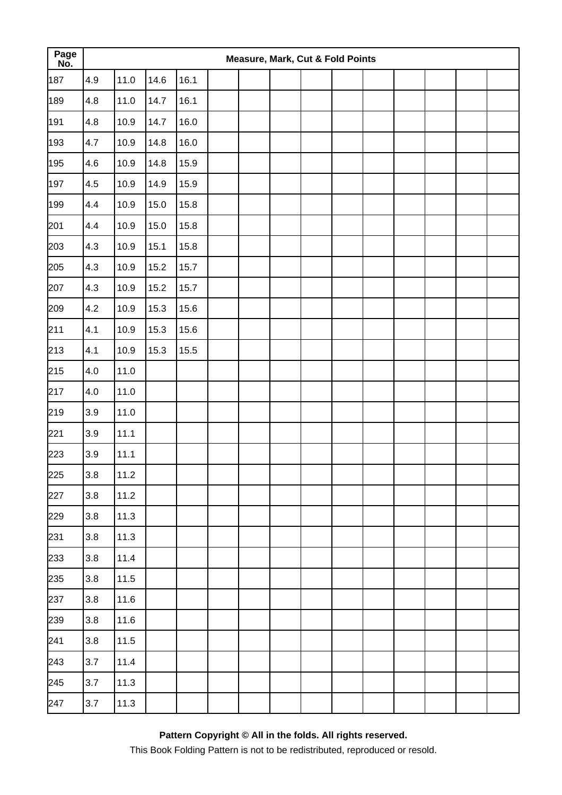| Page<br>No. |     |      |      |      |  | <b>Measure, Mark, Cut &amp; Fold Points</b> |  |  |  |  |
|-------------|-----|------|------|------|--|---------------------------------------------|--|--|--|--|
| 187         | 4.9 | 11.0 | 14.6 | 16.1 |  |                                             |  |  |  |  |
| 189         | 4.8 | 11.0 | 14.7 | 16.1 |  |                                             |  |  |  |  |
| 191         | 4.8 | 10.9 | 14.7 | 16.0 |  |                                             |  |  |  |  |
| 193         | 4.7 | 10.9 | 14.8 | 16.0 |  |                                             |  |  |  |  |
| 195         | 4.6 | 10.9 | 14.8 | 15.9 |  |                                             |  |  |  |  |
| 197         | 4.5 | 10.9 | 14.9 | 15.9 |  |                                             |  |  |  |  |
| 199         | 4.4 | 10.9 | 15.0 | 15.8 |  |                                             |  |  |  |  |
| 201         | 4.4 | 10.9 | 15.0 | 15.8 |  |                                             |  |  |  |  |
| 203         | 4.3 | 10.9 | 15.1 | 15.8 |  |                                             |  |  |  |  |
| 205         | 4.3 | 10.9 | 15.2 | 15.7 |  |                                             |  |  |  |  |
| 207         | 4.3 | 10.9 | 15.2 | 15.7 |  |                                             |  |  |  |  |
| 209         | 4.2 | 10.9 | 15.3 | 15.6 |  |                                             |  |  |  |  |
| 211         | 4.1 | 10.9 | 15.3 | 15.6 |  |                                             |  |  |  |  |
| 213         | 4.1 | 10.9 | 15.3 | 15.5 |  |                                             |  |  |  |  |
| 215         | 4.0 | 11.0 |      |      |  |                                             |  |  |  |  |
| 217         | 4.0 | 11.0 |      |      |  |                                             |  |  |  |  |
| 219         | 3.9 | 11.0 |      |      |  |                                             |  |  |  |  |
| 221         | 3.9 | 11.1 |      |      |  |                                             |  |  |  |  |
| 223         | 3.9 | 11.1 |      |      |  |                                             |  |  |  |  |
| 225         | 3.8 | 11.2 |      |      |  |                                             |  |  |  |  |
| 227         | 3.8 | 11.2 |      |      |  |                                             |  |  |  |  |
| 229         | 3.8 | 11.3 |      |      |  |                                             |  |  |  |  |
| 231         | 3.8 | 11.3 |      |      |  |                                             |  |  |  |  |
| 233         | 3.8 | 11.4 |      |      |  |                                             |  |  |  |  |
| 235         | 3.8 | 11.5 |      |      |  |                                             |  |  |  |  |
| 237         | 3.8 | 11.6 |      |      |  |                                             |  |  |  |  |
| 239         | 3.8 | 11.6 |      |      |  |                                             |  |  |  |  |
| 241         | 3.8 | 11.5 |      |      |  |                                             |  |  |  |  |
| 243         | 3.7 | 11.4 |      |      |  |                                             |  |  |  |  |
| 245         | 3.7 | 11.3 |      |      |  |                                             |  |  |  |  |
| 247         | 3.7 | 11.3 |      |      |  |                                             |  |  |  |  |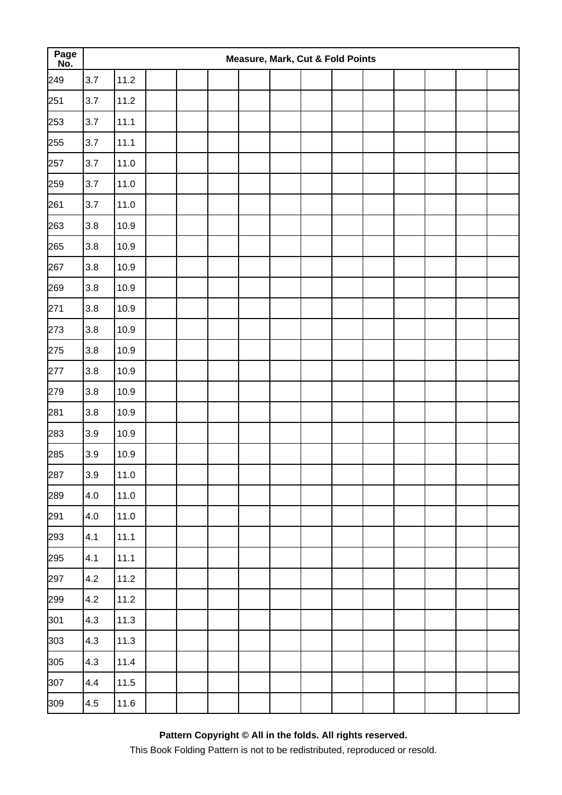| Page<br>No. | Measure, Mark, Cut & Fold Points |      |  |  |  |  |  |  |  |  |  |  |  |
|-------------|----------------------------------|------|--|--|--|--|--|--|--|--|--|--|--|
| 249         | 3.7                              | 11.2 |  |  |  |  |  |  |  |  |  |  |  |
| 251         | 3.7                              | 11.2 |  |  |  |  |  |  |  |  |  |  |  |
| 253         | 3.7                              | 11.1 |  |  |  |  |  |  |  |  |  |  |  |
| 255         | 3.7                              | 11.1 |  |  |  |  |  |  |  |  |  |  |  |
| 257         | 3.7                              | 11.0 |  |  |  |  |  |  |  |  |  |  |  |
| 259         | 3.7                              | 11.0 |  |  |  |  |  |  |  |  |  |  |  |
| 261         | 3.7                              | 11.0 |  |  |  |  |  |  |  |  |  |  |  |
| 263         | $3.8\,$                          | 10.9 |  |  |  |  |  |  |  |  |  |  |  |
| 265         | 3.8                              | 10.9 |  |  |  |  |  |  |  |  |  |  |  |
| 267         | 3.8                              | 10.9 |  |  |  |  |  |  |  |  |  |  |  |
| 269         | 3.8                              | 10.9 |  |  |  |  |  |  |  |  |  |  |  |
| 271         | 3.8                              | 10.9 |  |  |  |  |  |  |  |  |  |  |  |
| 273         | 3.8                              | 10.9 |  |  |  |  |  |  |  |  |  |  |  |
| 275         | 3.8                              | 10.9 |  |  |  |  |  |  |  |  |  |  |  |
| 277         | 3.8                              | 10.9 |  |  |  |  |  |  |  |  |  |  |  |
| 279         | 3.8                              | 10.9 |  |  |  |  |  |  |  |  |  |  |  |
| 281         | 3.8                              | 10.9 |  |  |  |  |  |  |  |  |  |  |  |
| 283         | 3.9                              | 10.9 |  |  |  |  |  |  |  |  |  |  |  |
| 285         | 3.9                              | 10.9 |  |  |  |  |  |  |  |  |  |  |  |
| 287         | 3.9                              | 11.0 |  |  |  |  |  |  |  |  |  |  |  |
| 289         | 4.0                              | 11.0 |  |  |  |  |  |  |  |  |  |  |  |
| 291         | 4.0                              | 11.0 |  |  |  |  |  |  |  |  |  |  |  |
| 293         | 4.1                              | 11.1 |  |  |  |  |  |  |  |  |  |  |  |
| 295         | 4.1                              | 11.1 |  |  |  |  |  |  |  |  |  |  |  |
| 297         | 4.2                              | 11.2 |  |  |  |  |  |  |  |  |  |  |  |
| 299         | 4.2                              | 11.2 |  |  |  |  |  |  |  |  |  |  |  |
| 301         | 4.3                              | 11.3 |  |  |  |  |  |  |  |  |  |  |  |
| 303         | 4.3                              | 11.3 |  |  |  |  |  |  |  |  |  |  |  |
| 305         | 4.3                              | 11.4 |  |  |  |  |  |  |  |  |  |  |  |
| 307         | 4.4                              | 11.5 |  |  |  |  |  |  |  |  |  |  |  |
| 309         | 4.5                              | 11.6 |  |  |  |  |  |  |  |  |  |  |  |